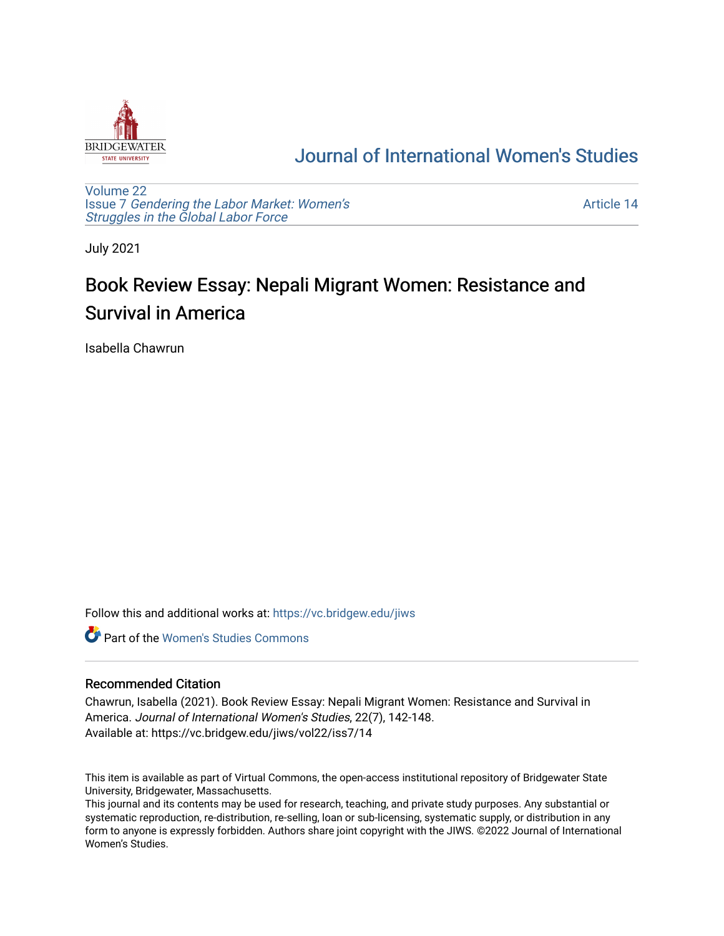

## [Journal of International Women's Studies](https://vc.bridgew.edu/jiws)

[Volume 22](https://vc.bridgew.edu/jiws/vol22) Issue 7 [Gendering the Labor Market: Women's](https://vc.bridgew.edu/jiws/vol22/iss7) [Struggles in the Global Labor Force](https://vc.bridgew.edu/jiws/vol22/iss7)

[Article 14](https://vc.bridgew.edu/jiws/vol22/iss7/14) 

July 2021

# Book Review Essay: Nepali Migrant Women: Resistance and Survival in America

Isabella Chawrun

Follow this and additional works at: [https://vc.bridgew.edu/jiws](https://vc.bridgew.edu/jiws?utm_source=vc.bridgew.edu%2Fjiws%2Fvol22%2Fiss7%2F14&utm_medium=PDF&utm_campaign=PDFCoverPages)

**C** Part of the Women's Studies Commons

### Recommended Citation

Chawrun, Isabella (2021). Book Review Essay: Nepali Migrant Women: Resistance and Survival in America. Journal of International Women's Studies, 22(7), 142-148. Available at: https://vc.bridgew.edu/jiws/vol22/iss7/14

This item is available as part of Virtual Commons, the open-access institutional repository of Bridgewater State University, Bridgewater, Massachusetts.

This journal and its contents may be used for research, teaching, and private study purposes. Any substantial or systematic reproduction, re-distribution, re-selling, loan or sub-licensing, systematic supply, or distribution in any form to anyone is expressly forbidden. Authors share joint copyright with the JIWS. ©2022 Journal of International Women's Studies.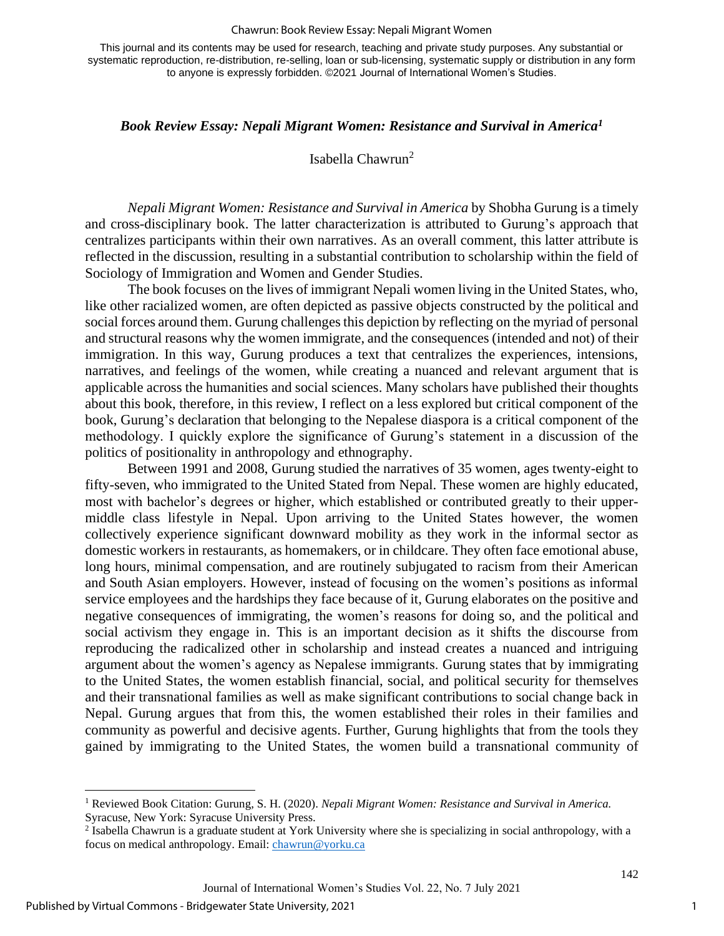#### Chawrun: Book Review Essay: Nepali Migrant Women

This journal and its contents may be used for research, teaching and private study purposes. Any substantial or systematic reproduction, re-distribution, re-selling, loan or sub-licensing, systematic supply or distribution in any form to anyone is expressly forbidden. ©2021 Journal of International Women's Studies.

## *Book Review Essay: Nepali Migrant Women: Resistance and Survival in America<sup>1</sup>*

## Isabella Chawrun<sup>2</sup>

*Nepali Migrant Women: Resistance and Survival in America* by Shobha Gurung is a timely and cross-disciplinary book. The latter characterization is attributed to Gurung's approach that centralizes participants within their own narratives. As an overall comment, this latter attribute is reflected in the discussion, resulting in a substantial contribution to scholarship within the field of Sociology of Immigration and Women and Gender Studies.

The book focuses on the lives of immigrant Nepali women living in the United States, who, like other racialized women, are often depicted as passive objects constructed by the political and social forces around them. Gurung challenges this depiction by reflecting on the myriad of personal and structural reasons why the women immigrate, and the consequences (intended and not) of their immigration. In this way, Gurung produces a text that centralizes the experiences, intensions, narratives, and feelings of the women, while creating a nuanced and relevant argument that is applicable across the humanities and social sciences. Many scholars have published their thoughts about this book, therefore, in this review, I reflect on a less explored but critical component of the book, Gurung's declaration that belonging to the Nepalese diaspora is a critical component of the methodology. I quickly explore the significance of Gurung's statement in a discussion of the politics of positionality in anthropology and ethnography.

Between 1991 and 2008, Gurung studied the narratives of 35 women, ages twenty-eight to fifty-seven, who immigrated to the United Stated from Nepal. These women are highly educated, most with bachelor's degrees or higher, which established or contributed greatly to their uppermiddle class lifestyle in Nepal. Upon arriving to the United States however, the women collectively experience significant downward mobility as they work in the informal sector as domestic workers in restaurants, as homemakers, or in childcare. They often face emotional abuse, long hours, minimal compensation, and are routinely subjugated to racism from their American and South Asian employers. However, instead of focusing on the women's positions as informal service employees and the hardships they face because of it, Gurung elaborates on the positive and negative consequences of immigrating, the women's reasons for doing so, and the political and social activism they engage in. This is an important decision as it shifts the discourse from reproducing the radicalized other in scholarship and instead creates a nuanced and intriguing argument about the women's agency as Nepalese immigrants. Gurung states that by immigrating to the United States, the women establish financial, social, and political security for themselves and their transnational families as well as make significant contributions to social change back in Nepal. Gurung argues that from this, the women established their roles in their families and community as powerful and decisive agents. Further, Gurung highlights that from the tools they gained by immigrating to the United States, the women build a transnational community of

<sup>1</sup> Reviewed Book Citation: Gurung, S. H. (2020). *Nepali Migrant Women: Resistance and Survival in America.* Syracuse, New York: Syracuse University Press.

<sup>&</sup>lt;sup>2</sup> Isabella Chawrun is a graduate student at York University where she is specializing in social anthropology, with a focus on medical anthropology. Email: [chawrun@yorku.ca](mailto:chawrun@yorku.ca)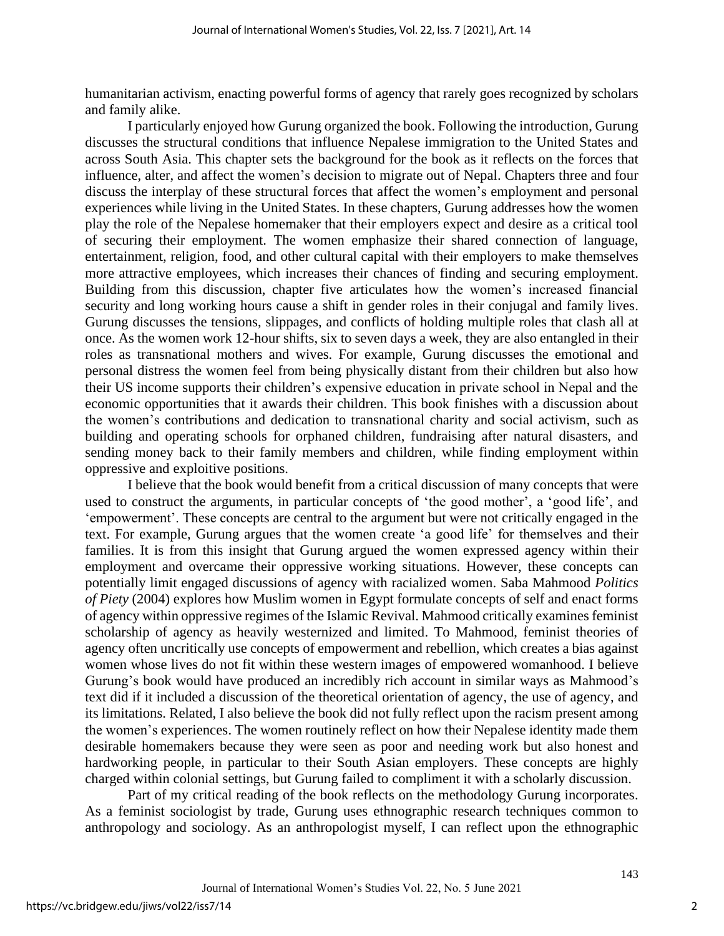humanitarian activism, enacting powerful forms of agency that rarely goes recognized by scholars and family alike.

I particularly enjoyed how Gurung organized the book. Following the introduction, Gurung discusses the structural conditions that influence Nepalese immigration to the United States and across South Asia. This chapter sets the background for the book as it reflects on the forces that influence, alter, and affect the women's decision to migrate out of Nepal. Chapters three and four discuss the interplay of these structural forces that affect the women's employment and personal experiences while living in the United States. In these chapters, Gurung addresses how the women play the role of the Nepalese homemaker that their employers expect and desire as a critical tool of securing their employment. The women emphasize their shared connection of language, entertainment, religion, food, and other cultural capital with their employers to make themselves more attractive employees, which increases their chances of finding and securing employment. Building from this discussion, chapter five articulates how the women's increased financial security and long working hours cause a shift in gender roles in their conjugal and family lives. Gurung discusses the tensions, slippages, and conflicts of holding multiple roles that clash all at once. As the women work 12-hour shifts, six to seven days a week, they are also entangled in their roles as transnational mothers and wives. For example, Gurung discusses the emotional and personal distress the women feel from being physically distant from their children but also how their US income supports their children's expensive education in private school in Nepal and the economic opportunities that it awards their children. This book finishes with a discussion about the women's contributions and dedication to transnational charity and social activism, such as building and operating schools for orphaned children, fundraising after natural disasters, and sending money back to their family members and children, while finding employment within oppressive and exploitive positions.

I believe that the book would benefit from a critical discussion of many concepts that were used to construct the arguments, in particular concepts of 'the good mother', a 'good life', and 'empowerment'. These concepts are central to the argument but were not critically engaged in the text. For example, Gurung argues that the women create 'a good life' for themselves and their families. It is from this insight that Gurung argued the women expressed agency within their employment and overcame their oppressive working situations. However, these concepts can potentially limit engaged discussions of agency with racialized women. Saba Mahmood *Politics of Piety* (2004) explores how Muslim women in Egypt formulate concepts of self and enact forms of agency within oppressive regimes of the Islamic Revival. Mahmood critically examines feminist scholarship of agency as heavily westernized and limited. To Mahmood, feminist theories of agency often uncritically use concepts of empowerment and rebellion, which creates a bias against women whose lives do not fit within these western images of empowered womanhood. I believe Gurung's book would have produced an incredibly rich account in similar ways as Mahmood's text did if it included a discussion of the theoretical orientation of agency, the use of agency, and its limitations. Related, I also believe the book did not fully reflect upon the racism present among the women's experiences. The women routinely reflect on how their Nepalese identity made them desirable homemakers because they were seen as poor and needing work but also honest and hardworking people, in particular to their South Asian employers. These concepts are highly charged within colonial settings, but Gurung failed to compliment it with a scholarly discussion.

Part of my critical reading of the book reflects on the methodology Gurung incorporates. As a feminist sociologist by trade, Gurung uses ethnographic research techniques common to anthropology and sociology. As an anthropologist myself, I can reflect upon the ethnographic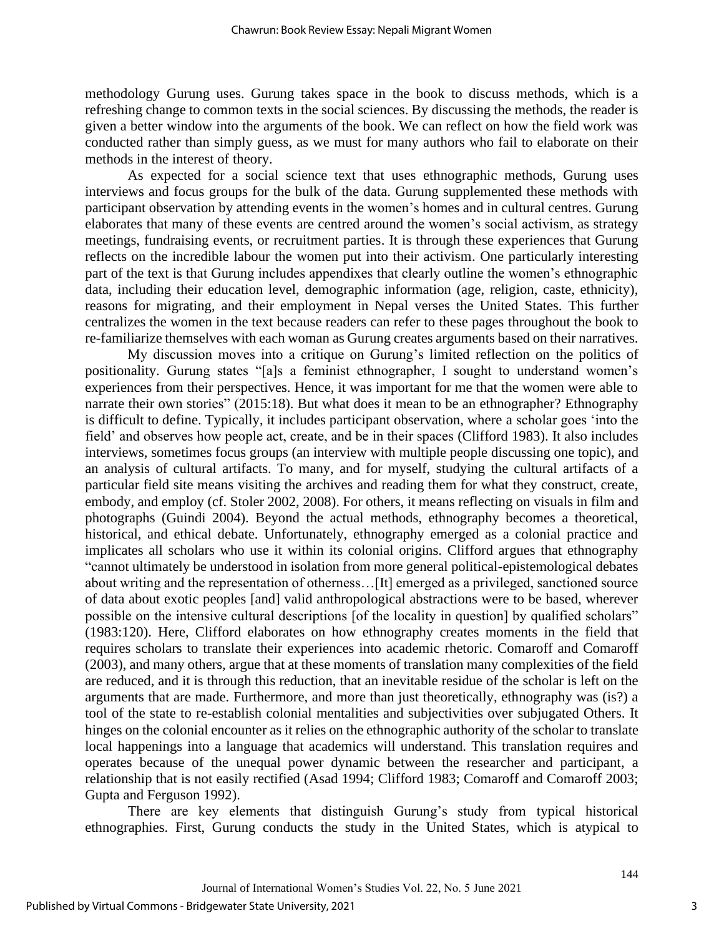methodology Gurung uses. Gurung takes space in the book to discuss methods, which is a refreshing change to common texts in the social sciences. By discussing the methods, the reader is given a better window into the arguments of the book. We can reflect on how the field work was conducted rather than simply guess, as we must for many authors who fail to elaborate on their methods in the interest of theory.

As expected for a social science text that uses ethnographic methods, Gurung uses interviews and focus groups for the bulk of the data. Gurung supplemented these methods with participant observation by attending events in the women's homes and in cultural centres. Gurung elaborates that many of these events are centred around the women's social activism, as strategy meetings, fundraising events, or recruitment parties. It is through these experiences that Gurung reflects on the incredible labour the women put into their activism. One particularly interesting part of the text is that Gurung includes appendixes that clearly outline the women's ethnographic data, including their education level, demographic information (age, religion, caste, ethnicity), reasons for migrating, and their employment in Nepal verses the United States. This further centralizes the women in the text because readers can refer to these pages throughout the book to re-familiarize themselves with each woman as Gurung creates arguments based on their narratives.

My discussion moves into a critique on Gurung's limited reflection on the politics of positionality. Gurung states "[a]s a feminist ethnographer, I sought to understand women's experiences from their perspectives. Hence, it was important for me that the women were able to narrate their own stories" (2015:18). But what does it mean to be an ethnographer? Ethnography is difficult to define. Typically, it includes participant observation, where a scholar goes 'into the field' and observes how people act, create, and be in their spaces (Clifford 1983). It also includes interviews, sometimes focus groups (an interview with multiple people discussing one topic), and an analysis of cultural artifacts. To many, and for myself, studying the cultural artifacts of a particular field site means visiting the archives and reading them for what they construct, create, embody, and employ (cf. Stoler 2002, 2008). For others, it means reflecting on visuals in film and photographs (Guindi 2004). Beyond the actual methods, ethnography becomes a theoretical, historical, and ethical debate. Unfortunately, ethnography emerged as a colonial practice and implicates all scholars who use it within its colonial origins. Clifford argues that ethnography "cannot ultimately be understood in isolation from more general political-epistemological debates about writing and the representation of otherness…[It] emerged as a privileged, sanctioned source of data about exotic peoples [and] valid anthropological abstractions were to be based, wherever possible on the intensive cultural descriptions [of the locality in question] by qualified scholars" (1983:120). Here, Clifford elaborates on how ethnography creates moments in the field that requires scholars to translate their experiences into academic rhetoric. Comaroff and Comaroff (2003), and many others, argue that at these moments of translation many complexities of the field are reduced, and it is through this reduction, that an inevitable residue of the scholar is left on the arguments that are made. Furthermore, and more than just theoretically, ethnography was (is?) a tool of the state to re-establish colonial mentalities and subjectivities over subjugated Others. It hinges on the colonial encounter as it relies on the ethnographic authority of the scholar to translate local happenings into a language that academics will understand. This translation requires and operates because of the unequal power dynamic between the researcher and participant, a relationship that is not easily rectified (Asad 1994; Clifford 1983; Comaroff and Comaroff 2003; Gupta and Ferguson 1992).

There are key elements that distinguish Gurung's study from typical historical ethnographies. First, Gurung conducts the study in the United States, which is atypical to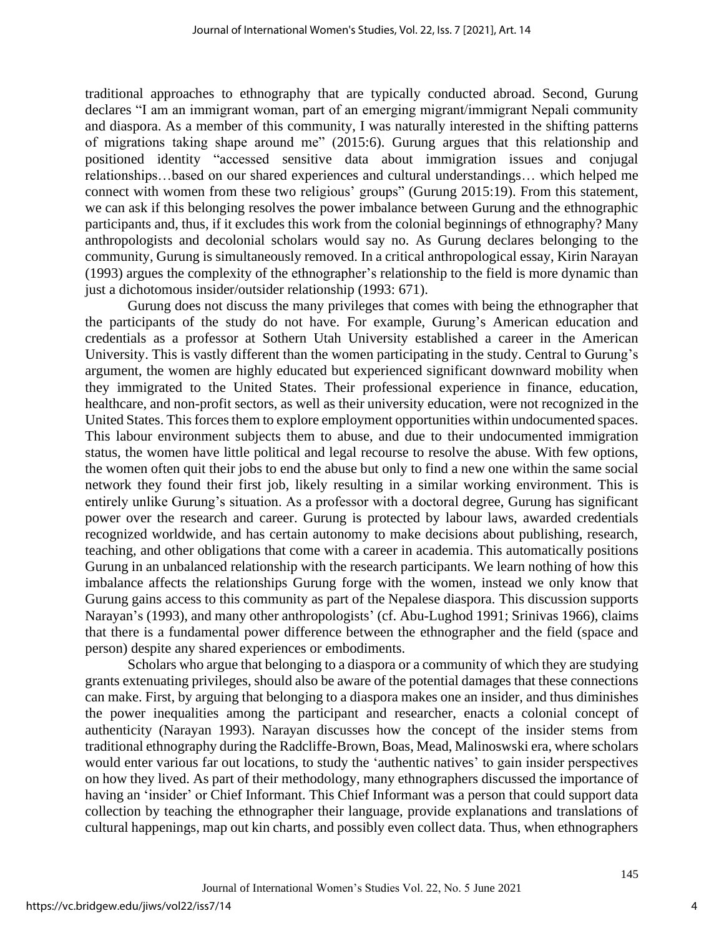traditional approaches to ethnography that are typically conducted abroad. Second, Gurung declares "I am an immigrant woman, part of an emerging migrant/immigrant Nepali community and diaspora. As a member of this community, I was naturally interested in the shifting patterns of migrations taking shape around me" (2015:6). Gurung argues that this relationship and positioned identity "accessed sensitive data about immigration issues and conjugal relationships…based on our shared experiences and cultural understandings… which helped me connect with women from these two religious' groups" (Gurung 2015:19). From this statement, we can ask if this belonging resolves the power imbalance between Gurung and the ethnographic participants and, thus, if it excludes this work from the colonial beginnings of ethnography? Many anthropologists and decolonial scholars would say no. As Gurung declares belonging to the community, Gurung is simultaneously removed. In a critical anthropological essay, Kirin Narayan (1993) argues the complexity of the ethnographer's relationship to the field is more dynamic than just a dichotomous insider/outsider relationship (1993: 671).

Gurung does not discuss the many privileges that comes with being the ethnographer that the participants of the study do not have. For example, Gurung's American education and credentials as a professor at Sothern Utah University established a career in the American University. This is vastly different than the women participating in the study. Central to Gurung's argument, the women are highly educated but experienced significant downward mobility when they immigrated to the United States. Their professional experience in finance, education, healthcare, and non-profit sectors, as well as their university education, were not recognized in the United States. This forces them to explore employment opportunities within undocumented spaces. This labour environment subjects them to abuse, and due to their undocumented immigration status, the women have little political and legal recourse to resolve the abuse. With few options, the women often quit their jobs to end the abuse but only to find a new one within the same social network they found their first job, likely resulting in a similar working environment. This is entirely unlike Gurung's situation. As a professor with a doctoral degree, Gurung has significant power over the research and career. Gurung is protected by labour laws, awarded credentials recognized worldwide, and has certain autonomy to make decisions about publishing, research, teaching, and other obligations that come with a career in academia. This automatically positions Gurung in an unbalanced relationship with the research participants. We learn nothing of how this imbalance affects the relationships Gurung forge with the women, instead we only know that Gurung gains access to this community as part of the Nepalese diaspora. This discussion supports Narayan's (1993), and many other anthropologists' (cf. Abu-Lughod 1991; Srinivas 1966), claims that there is a fundamental power difference between the ethnographer and the field (space and person) despite any shared experiences or embodiments.

Scholars who argue that belonging to a diaspora or a community of which they are studying grants extenuating privileges, should also be aware of the potential damages that these connections can make. First, by arguing that belonging to a diaspora makes one an insider, and thus diminishes the power inequalities among the participant and researcher, enacts a colonial concept of authenticity (Narayan 1993). Narayan discusses how the concept of the insider stems from traditional ethnography during the Radcliffe-Brown, Boas, Mead, Malinoswski era, where scholars would enter various far out locations, to study the 'authentic natives' to gain insider perspectives on how they lived. As part of their methodology, many ethnographers discussed the importance of having an 'insider' or Chief Informant. This Chief Informant was a person that could support data collection by teaching the ethnographer their language, provide explanations and translations of cultural happenings, map out kin charts, and possibly even collect data. Thus, when ethnographers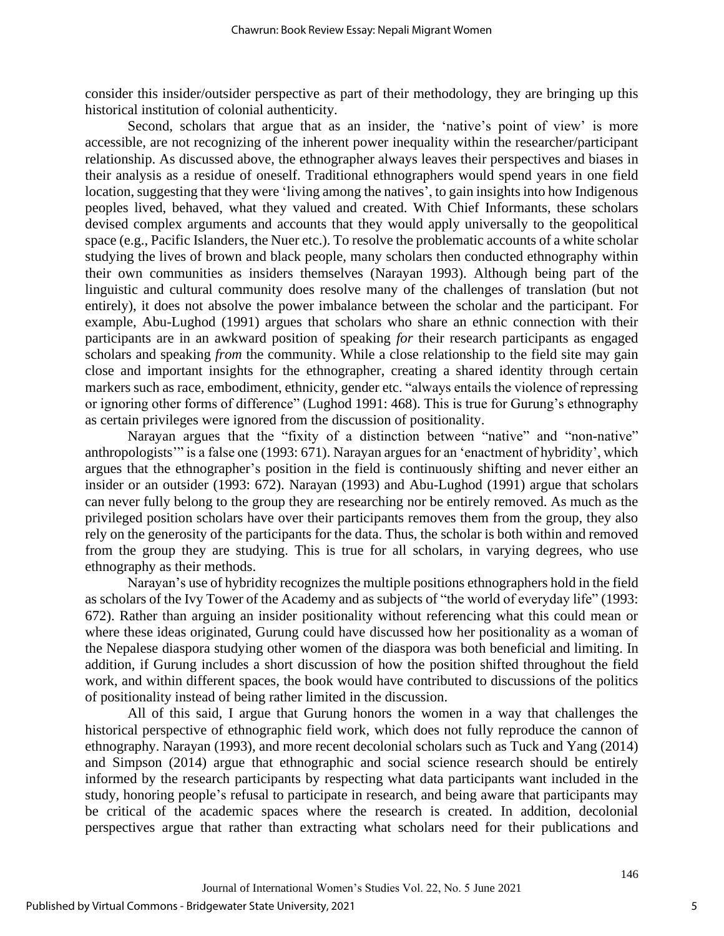consider this insider/outsider perspective as part of their methodology, they are bringing up this historical institution of colonial authenticity.

Second, scholars that argue that as an insider, the 'native's point of view' is more accessible, are not recognizing of the inherent power inequality within the researcher/participant relationship. As discussed above, the ethnographer always leaves their perspectives and biases in their analysis as a residue of oneself. Traditional ethnographers would spend years in one field location, suggesting that they were 'living among the natives', to gain insights into how Indigenous peoples lived, behaved, what they valued and created. With Chief Informants, these scholars devised complex arguments and accounts that they would apply universally to the geopolitical space (e.g., Pacific Islanders, the Nuer etc.). To resolve the problematic accounts of a white scholar studying the lives of brown and black people, many scholars then conducted ethnography within their own communities as insiders themselves (Narayan 1993). Although being part of the linguistic and cultural community does resolve many of the challenges of translation (but not entirely), it does not absolve the power imbalance between the scholar and the participant. For example, Abu-Lughod (1991) argues that scholars who share an ethnic connection with their participants are in an awkward position of speaking *for* their research participants as engaged scholars and speaking *from* the community. While a close relationship to the field site may gain close and important insights for the ethnographer, creating a shared identity through certain markers such as race, embodiment, ethnicity, gender etc. "always entails the violence of repressing or ignoring other forms of difference" (Lughod 1991: 468). This is true for Gurung's ethnography as certain privileges were ignored from the discussion of positionality.

Narayan argues that the "fixity of a distinction between "native" and "non-native" anthropologists'" is a false one (1993: 671). Narayan argues for an 'enactment of hybridity', which argues that the ethnographer's position in the field is continuously shifting and never either an insider or an outsider (1993: 672). Narayan (1993) and Abu-Lughod (1991) argue that scholars can never fully belong to the group they are researching nor be entirely removed. As much as the privileged position scholars have over their participants removes them from the group, they also rely on the generosity of the participants for the data. Thus, the scholar is both within and removed from the group they are studying. This is true for all scholars, in varying degrees, who use ethnography as their methods.

Narayan's use of hybridity recognizes the multiple positions ethnographers hold in the field as scholars of the Ivy Tower of the Academy and as subjects of "the world of everyday life" (1993: 672). Rather than arguing an insider positionality without referencing what this could mean or where these ideas originated, Gurung could have discussed how her positionality as a woman of the Nepalese diaspora studying other women of the diaspora was both beneficial and limiting. In addition, if Gurung includes a short discussion of how the position shifted throughout the field work, and within different spaces, the book would have contributed to discussions of the politics of positionality instead of being rather limited in the discussion.

All of this said, I argue that Gurung honors the women in a way that challenges the historical perspective of ethnographic field work, which does not fully reproduce the cannon of ethnography. Narayan (1993), and more recent decolonial scholars such as Tuck and Yang (2014) and Simpson (2014) argue that ethnographic and social science research should be entirely informed by the research participants by respecting what data participants want included in the study, honoring people's refusal to participate in research, and being aware that participants may be critical of the academic spaces where the research is created. In addition, decolonial perspectives argue that rather than extracting what scholars need for their publications and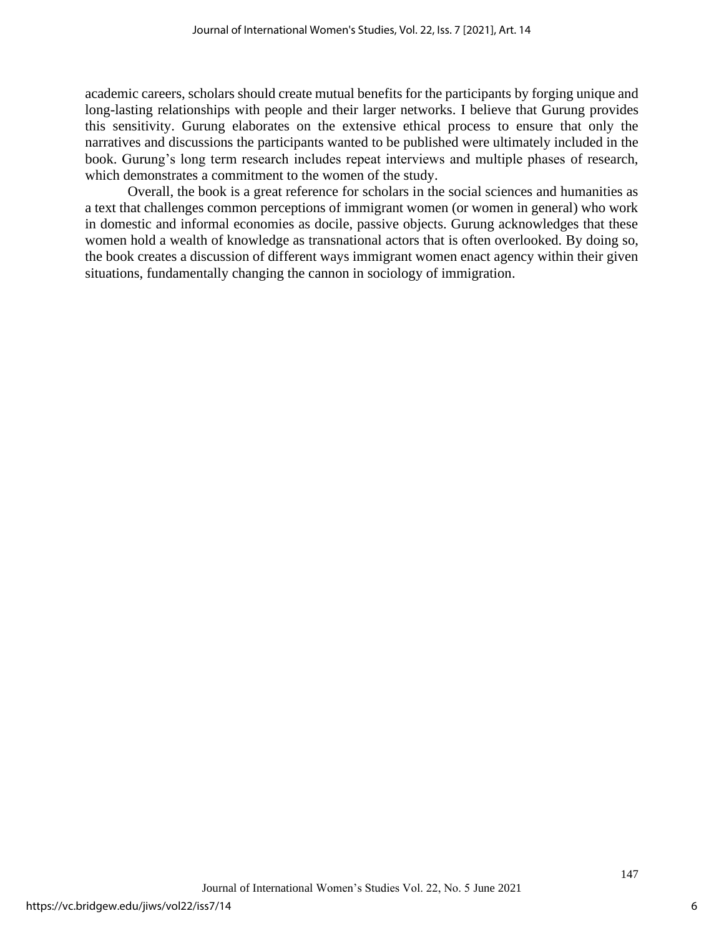academic careers, scholars should create mutual benefits for the participants by forging unique and long-lasting relationships with people and their larger networks. I believe that Gurung provides this sensitivity. Gurung elaborates on the extensive ethical process to ensure that only the narratives and discussions the participants wanted to be published were ultimately included in the book. Gurung's long term research includes repeat interviews and multiple phases of research, which demonstrates a commitment to the women of the study.

Overall, the book is a great reference for scholars in the social sciences and humanities as a text that challenges common perceptions of immigrant women (or women in general) who work in domestic and informal economies as docile, passive objects. Gurung acknowledges that these women hold a wealth of knowledge as transnational actors that is often overlooked. By doing so, the book creates a discussion of different ways immigrant women enact agency within their given situations, fundamentally changing the cannon in sociology of immigration.